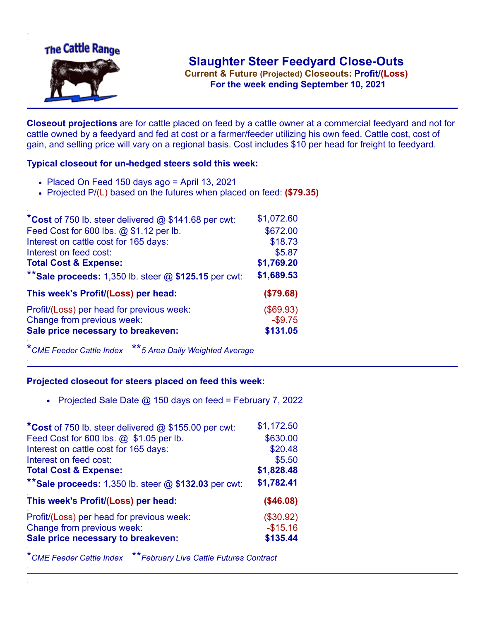

**Current & Future (Projected) Closeouts: Profit/(Loss)** .**For the week ending September 10, 2021**

**Closeout projections** are for cattle placed on feed by a cattle owner at a commercial feedyard and not for cattle owned by a feedyard and fed at cost or a farmer/feeder utilizing his own feed. Cattle cost, cost of gain, and selling price will vary on a regional basis. Cost includes \$10 per head for freight to feedyard.

## **Typical closeout for un-hedged steers sold this week:**

- Placed On Feed 150 days ago = April 13, 2021
- Projected P/(L) based on the futures when placed on feed: **(\$79.35)**

| *Cost of 750 lb. steer delivered $@$ \$141.68 per cwt:  | \$1,072.60 |
|---------------------------------------------------------|------------|
| Feed Cost for 600 lbs. @ \$1.12 per lb.                 | \$672.00   |
| Interest on cattle cost for 165 days:                   | \$18.73    |
| Interest on feed cost:                                  | \$5.87     |
| <b>Total Cost &amp; Expense:</b>                        | \$1,769.20 |
| ** Sale proceeds: 1,350 lb. steer $@$ \$125.15 per cwt: | \$1,689.53 |
| This week's Profit/(Loss) per head:                     | (\$79.68)  |
| Profit/(Loss) per head for previous week:               | (\$69.93)  |
| Change from previous week:                              | $-$9.75$   |
| Sale price necessary to breakeven:                      | \$131.05   |

\**CME Feeder Cattle Index* \*\**5 Area Daily Weighted Average*

## **Projected closeout for steers placed on feed this week:**

• Projected Sale Date  $@$  150 days on feed = February 7, 2022

| *Cost of 750 lb. steer delivered @ \$155.00 per cwt:    | \$1,172.50 |
|---------------------------------------------------------|------------|
| Feed Cost for 600 lbs. @ \$1.05 per lb.                 | \$630.00   |
| Interest on cattle cost for 165 days:                   | \$20.48    |
| Interest on feed cost:                                  | \$5.50     |
| <b>Total Cost &amp; Expense:</b>                        | \$1,828.48 |
| ** Sale proceeds: 1,350 lb. steer $@$ \$132.03 per cwt: | \$1,782.41 |
| This week's Profit/(Loss) per head:                     | (\$46.08)  |
| Profit/(Loss) per head for previous week:               | (\$30.92)  |
| Change from previous week:                              | $-$15.16$  |
| Sale price necessary to breakeven:                      | \$135.44   |

\**CME Feeder Cattle Index* \*\**February Live Cattle Futures Contract*